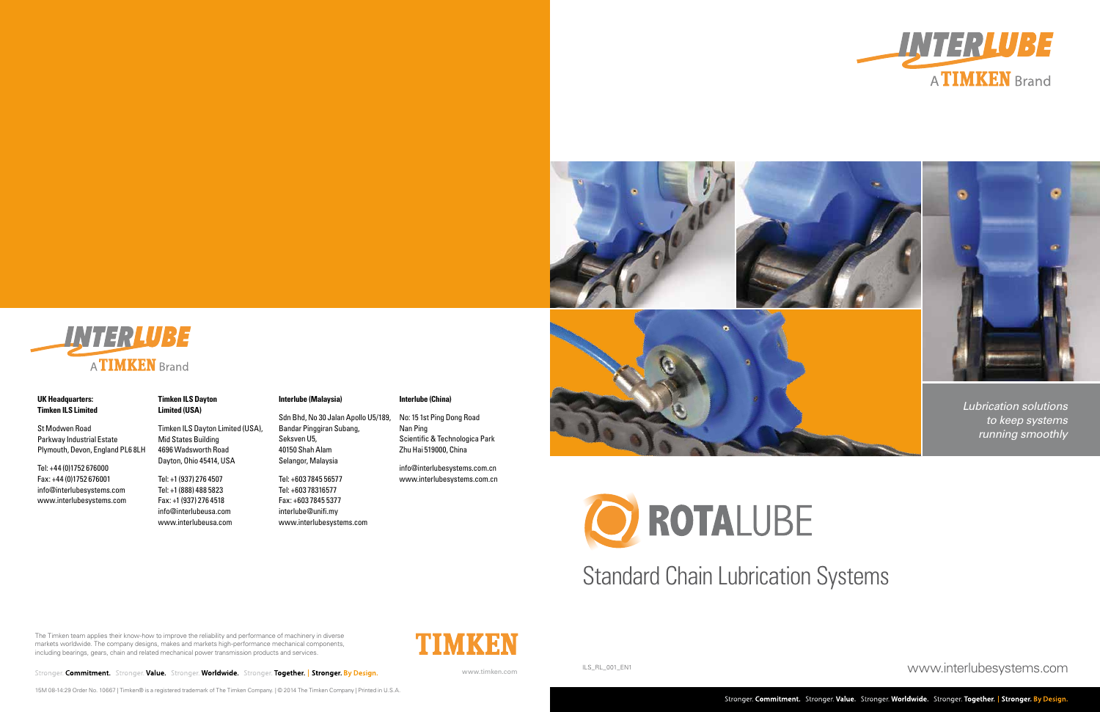**UK Headquarters: Timken ILS Limited** 

St Modwen Road Parkway Industrial Estate

Plymouth, Devon, England PL6 8LH

INTERLUBE

A**TIMKEN** Brand

Stronger. Commitment. Stronger. Value. Stronger. Worldwide. Stronger. Together. | Stronger. By Design.

Tel: +44 (0)1752 676000 Fax: +44 (0)1752 676001 info@interlubesystems.com www.interlubesystems.com **Timken ILS Dayton Limited (USA)**

Timken ILS Dayton Limited (USA),

Mid States Building 4696 Wadsworth Road Dayton, Ohio 45414, USA

Tel: +1 (937) 276 4507 Tel: +1 (888) 488 5823 Fax: +1 (937) 276 4518 info@interlubeusa.com www.interlubeusa.com **Interlube (Malaysia)**

Sdn Bhd, No 30 Jalan Apollo U5/189,

Bandar Pinggiran Subang,

Seksven U5, 40150 Shah Alam Selangor, Malaysia

Tel: +603 7845 56577 Tel: +603 78316577 Fax: +603 7845 5377 interlube@unifi.my

www.interlubesystems.com

**Interlube (China)**

No: 15 1st Ping Dong Road

Nan Ping

Scientific & Technologica Park

Zhu Hai 519000, China

info@interlubesystems.com.cn www.interlubesystems.com.cn

www.interlubesystems.com

# Standard Chain Lubrication Systems

ILS\_RL\_001\_EN1



- 
- 

The Timken team applies their know-how to improve the reliability and performance of machinery in diverse markets worldwide. The company designs, makes and markets high-performance mechanical components, including bearings, gears, chain and related mechanical power transmission products and services.

15M 08-14:29 Order No. 10667 | Timken® is a registered trademark of The Timken Company. | © 2014 The Timken Company | Printed in U.S.A.



www.timken.com





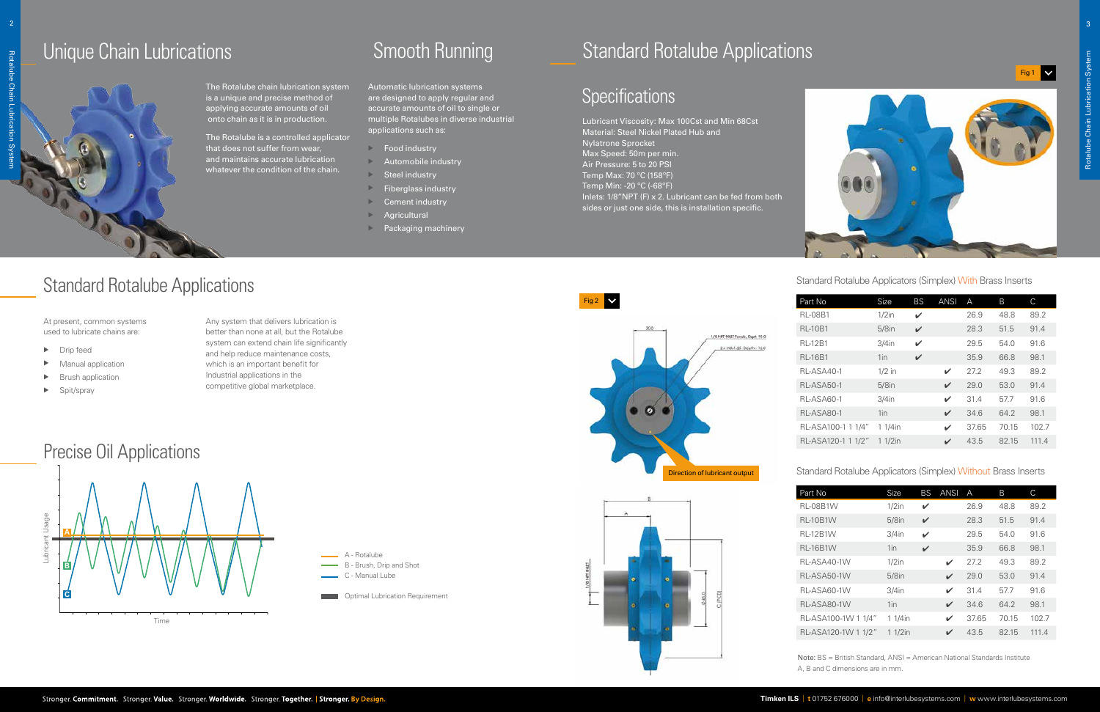## Standard Rotalube Applications

#### Precise Oil Applications

The Rotalube chain lubrication system is a unique and precise method of applying accurate amounts of oil onto chain as it is in production.

The Rotalube is a controlled applicator that does not suffer from wear, and maintains accurate lubrication whatever the condition of the chain.

Automatic lubrication systems are designed to apply regular and accurate amounts of oil to single or multiple Rotalubes in diverse industrial applications such as:

- $\triangleright$  Food industry
- $\triangleright$  Automobile industry
- $\triangleright$  Steel industry
- $\triangleright$  Fiberglass industry
- $\triangleright$  Cement industry
- $\triangleright$  Agricultural
- **Packaging machinery**

Lubricant Viscosity: Max 100Cst and Min 68Cst Material: Steel Nickel Plated Hub and Nylatrone Sprocket Max Speed: 50m per min. Air Pressure: 5 to 20 PSI Temp Max: 70 ºC (158ºF) Temp Min: -20 ºC (-68ºF) Inlets: 1/8"NPT (F) x 2. Lubricant can be fed from both sides or just one side, this is installation specific.

At present, common systems used to lubricate chains are:

- $\blacktriangleright$  Drip feed
- $\blacktriangleright$  Manual application
- $\blacktriangleright$  Brush application
- $\blacktriangleright$  Spit/spray

Any system that delivers lubrication is better than none at all, but the Rotalube system can extend chain life significantly and help reduce maintenance costs, which is an important benefit for Industrial applications in the competitive global marketplace.



Optimal Lubrication Requirement

## Standard Rotalube Applications

#### **Specifications**



| Part No             | Size      | <b>BS</b> | <b>ANSI</b>  | A     | B     | C     |
|---------------------|-----------|-----------|--------------|-------|-------|-------|
| <b>RL-08B1W</b>     | $1/2$ in  | V         |              | 26.9  | 48.8  | 89.2  |
| <b>RL-10B1W</b>     | $5/8$ in  | V         |              | 28.3  | 51.5  | 91.4  |
| <b>RL-12B1W</b>     | $3/4$ in  | ✓         |              | 29.5  | 54.0  | 91.6  |
| <b>RL-16B1W</b>     | 1in       | V         |              | 35.9  | 66.8  | 98.1  |
| RL-ASA40-1W         | $1/2$ in  |           | ✓            | 27.2  | 49.3  | 89.2  |
| RL-ASA50-1W         | $5/8$ in  |           | $\checkmark$ | 29.0  | 53.0  | 91.4  |
| RL-ASA60-1W         | $3/4$ in  |           | ✓            | 31.4  | 57.7  | 91.6  |
| RL-ASA80-1W         | $1$ in    |           | ✓            | 34.6  | 64.2  | 98.1  |
| RL-ASA100-1W 1 1/4" | 1 1/4in   |           | V            | 37.65 | 70.15 | 102.7 |
| RL-ASA120-1W 1 1/2" | $11/2$ in |           | ✓            | 43.5  | 82.15 | 111.4 |
|                     |           |           |              |       |       |       |



| Part No            | Size      | <b>BS</b>    | <b>ANSI</b> | Α     | B     | С     |
|--------------------|-----------|--------------|-------------|-------|-------|-------|
| <b>RL-08B1</b>     | $1/2$ in  | V            |             | 26.9  | 48.8  | 89.2  |
| <b>RL-10B1</b>     | $5/8$ in  | $\checkmark$ |             | 28.3  | 51.5  | 91.4  |
| <b>RL-12B1</b>     | $3/4$ in  | ✓            |             | 29.5  | 54.0  | 91.6  |
| <b>RL-16B1</b>     | 1in       | $\checkmark$ |             | 35.9  | 66.8  | 98.1  |
| RL-ASA40-1         | $1/2$ in  |              | ✓           | 27.2  | 49.3  | 89.2  |
| RL-ASA50-1         | $5/8$ in  |              | ✓           | 29.0  | 53.0  | 91.4  |
| RL-ASA60-1         | $3/4$ in  |              | V           | 31.4  | 57.7  | 91.6  |
| <b>RL-ASA80-1</b>  | $1$ in    |              | ✓           | 34.6  | 64.2  | 98.1  |
| RL-ASA100-1 1 1/4" | 1 1/4in   |              | ✓           | 37.65 | 70.15 | 102.7 |
| RL-ASA120-1 1 1/2" | $11/2$ in |              | V           | 43.5  | 82.15 | 111.4 |

Standard Rotalube Applicators (Simplex) Without Brass Inserts

Standard Rotalube Applicators (Simplex) With Brass Inserts





Note: BS = British Standard, ANSI = American National Standards Institute A, B and C dimensions are in mm.

2

## Unique Chain Lubrications **Smooth Running**

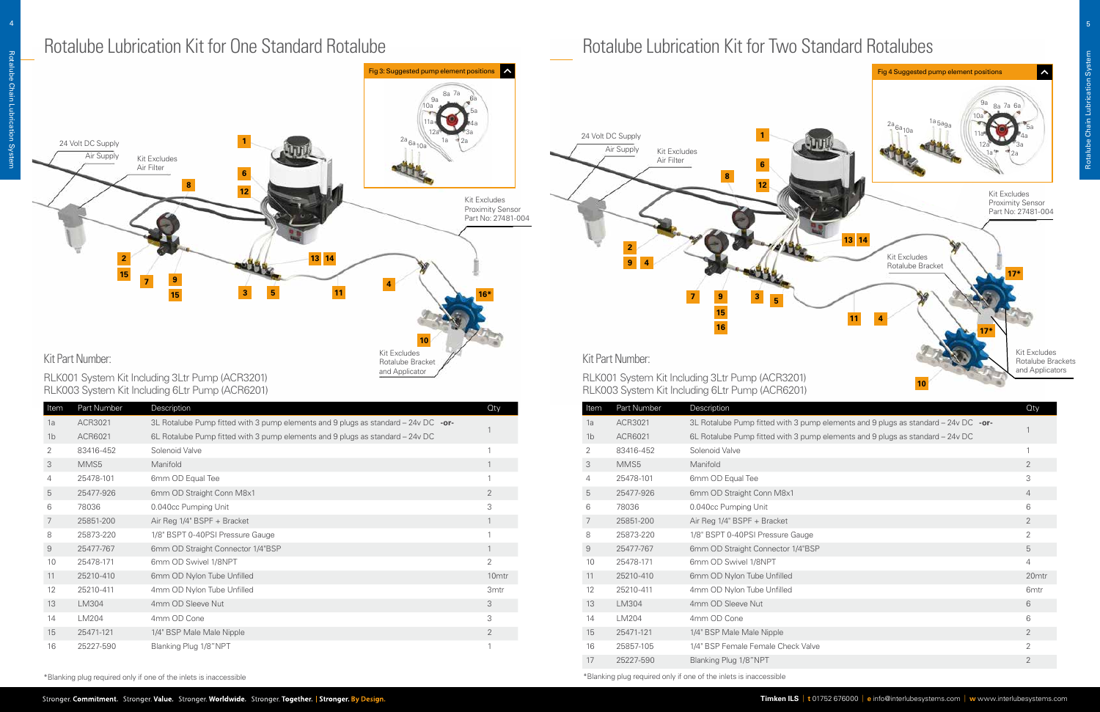| Item           | Part Number | Description                                                                             | <b>Oty</b>        |
|----------------|-------------|-----------------------------------------------------------------------------------------|-------------------|
| 1a             | ACR3021     | 3L Rotalube Pump fitted with 3 pump elements and 9 plugs as standard $-$ 24v DC $-$ or- |                   |
| 1 <sub>b</sub> | ACR6021     | 6L Rotalube Pump fitted with 3 pump elements and 9 plugs as standard - 24v DC           |                   |
| 2              | 83416-452   | Solenoid Valve                                                                          | 1                 |
| 3              | MMS5        | Manifold                                                                                | 1                 |
| 4              | 25478-101   | 6mm OD Equal Tee                                                                        | 1                 |
| 5              | 25477-926   | 6mm OD Straight Conn M8x1                                                               | 2                 |
| 6              | 78036       | 0.040cc Pumping Unit                                                                    | 3                 |
| 7              | 25851-200   | Air Reg 1/4" BSPF + Bracket                                                             | $\mathbf{1}$      |
| 8              | 25873-220   | 1/8" BSPT 0-40PSI Pressure Gauge                                                        | 1                 |
| $\mathcal{G}$  | 25477-767   | 6mm OD Straight Connector 1/4"BSP                                                       | $\mathbf{1}$      |
| 10             | 25478-171   | 6mm OD Swivel 1/8NPT                                                                    | 2                 |
| 11             | 25210-410   | 6mm OD Nylon Tube Unfilled                                                              | 10 <sub>mtr</sub> |
| 12             | 25210-411   | 4mm OD Nylon Tube Unfilled                                                              | 3 <sub>mtr</sub>  |
| 13             | LM304       | 4mm OD Sleeve Nut                                                                       | 3                 |
| 14             | LM204       | 4mm OD Cone                                                                             | 3                 |
| 15             | 25471-121   | 1/4" BSP Male Male Nipple                                                               | 2                 |
| 16             | 25227-590   | Blanking Plug 1/8"NPT                                                                   | 1                 |

## Rotalube Lubrication Kit for One Standard Rotalube **Rotalube Rotalube Lubrication Kit for Two Standard Rotalubes**



| Item                | Part Number | Description                                                                        | Oty              |
|---------------------|-------------|------------------------------------------------------------------------------------|------------------|
| 1a                  | ACR3021     | 3L Rotalube Pump fitted with 3 pump elements and 9 plugs as standard - 24v DC -or- |                  |
| 1 <sub>b</sub>      | ACR6021     | 6L Rotalube Pump fitted with 3 pump elements and 9 plugs as standard - 24v DC      |                  |
| 2                   | 83416-452   | Solenoid Valve                                                                     |                  |
| 3                   | MMS5        | Manifold                                                                           | $\overline{2}$   |
| 4                   | 25478-101   | 6mm OD Equal Tee                                                                   | 3                |
| 5                   | 25477-926   | 6mm OD Straight Conn M8x1                                                          | $\overline{4}$   |
| 6                   | 78036       | 0.040cc Pumping Unit                                                               | 6                |
| 7                   | 25851-200   | Air Reg 1/4" BSPF + Bracket                                                        | $\overline{2}$   |
| 8                   | 25873-220   | 1/8" BSPT 0-40PSI Pressure Gauge                                                   | 2                |
| $\mathcal{G}% _{0}$ | 25477-767   | 6mm OD Straight Connector 1/4"BSP                                                  | 5                |
| 10                  | 25478-171   | 6mm OD Swivel 1/8NPT                                                               | $\overline{4}$   |
| 11                  | 25210-410   | 6mm OD Nylon Tube Unfilled                                                         | 20mtr            |
| 12                  | 25210-411   | 4mm OD Nylon Tube Unfilled                                                         | 6 <sub>mtr</sub> |
| 13                  | LM304       | 4mm OD Sleeve Nut                                                                  | 6                |
| 14                  | LM204       | 4mm OD Cone                                                                        | 6                |
| 15                  | 25471-121   | 1/4" BSP Male Male Nipple                                                          | $\overline{2}$   |
| 16                  | 25857-105   | 1/4" BSP Female Female Check Valve                                                 | $\overline{2}$   |
| 17                  | 25227-590   | Blanking Plug 1/8"NPT                                                              | $\overline{2}$   |



RLK003 System Kit Including 6Ltr Pump (ACR6201)

RLK003 System Kit Including 6Ltr Pump (ACR6201)

\*Blanking plug required only if one of the inlets is inaccessible \*Blanking plug required only if one of the inlets is inaccessible